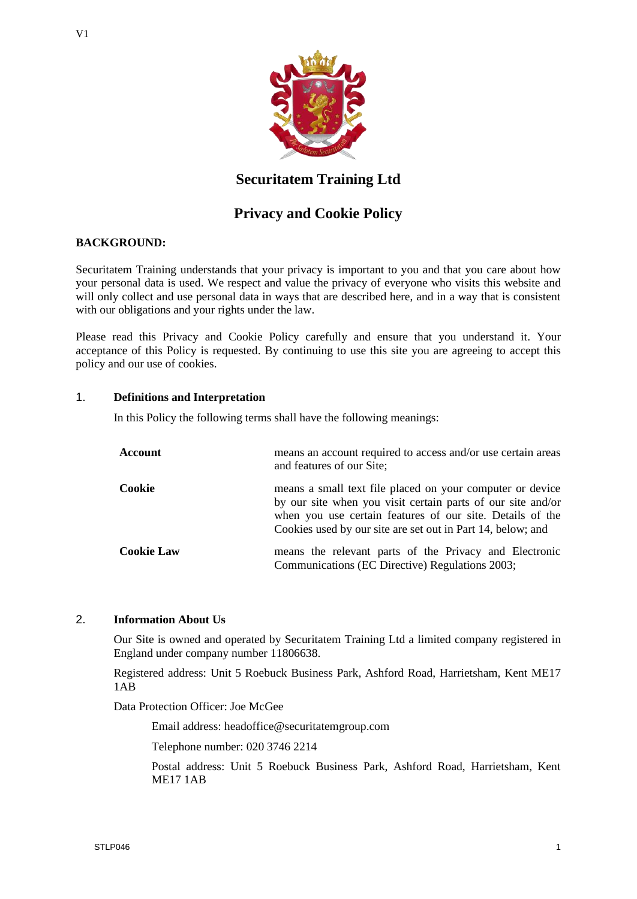

# **Securitatem Training Ltd**

# **Privacy and Cookie Policy**

# **BACKGROUND:**

Securitatem Training understands that your privacy is important to you and that you care about how your personal data is used. We respect and value the privacy of everyone who visits this website and will only collect and use personal data in ways that are described here, and in a way that is consistent with our obligations and your rights under the law.

Please read this Privacy and Cookie Policy carefully and ensure that you understand it. Your acceptance of this Policy is requested. By continuing to use this site you are agreeing to accept this policy and our use of cookies.

### 1. **Definitions and Interpretation**

In this Policy the following terms shall have the following meanings:

| <b>Account</b>    | means an account required to access and/or use certain areas<br>and features of our Site;                                                                                                                                                            |
|-------------------|------------------------------------------------------------------------------------------------------------------------------------------------------------------------------------------------------------------------------------------------------|
| Cookie            | means a small text file placed on your computer or device<br>by our site when you visit certain parts of our site and/or<br>when you use certain features of our site. Details of the<br>Cookies used by our site are set out in Part 14, below; and |
| <b>Cookie Law</b> | means the relevant parts of the Privacy and Electronic<br>Communications (EC Directive) Regulations 2003;                                                                                                                                            |

# 2. **Information About Us**

Our Site is owned and operated by Securitatem Training Ltd a limited company registered in England under company number 11806638.

Registered address: Unit 5 Roebuck Business Park, Ashford Road, Harrietsham, Kent ME17 1AB

Data Protection Officer: Joe McGee

Email address: headoffice@securitatemgroup.com

Telephone number: 020 3746 2214

Postal address: Unit 5 Roebuck Business Park, Ashford Road, Harrietsham, Kent ME17 1AB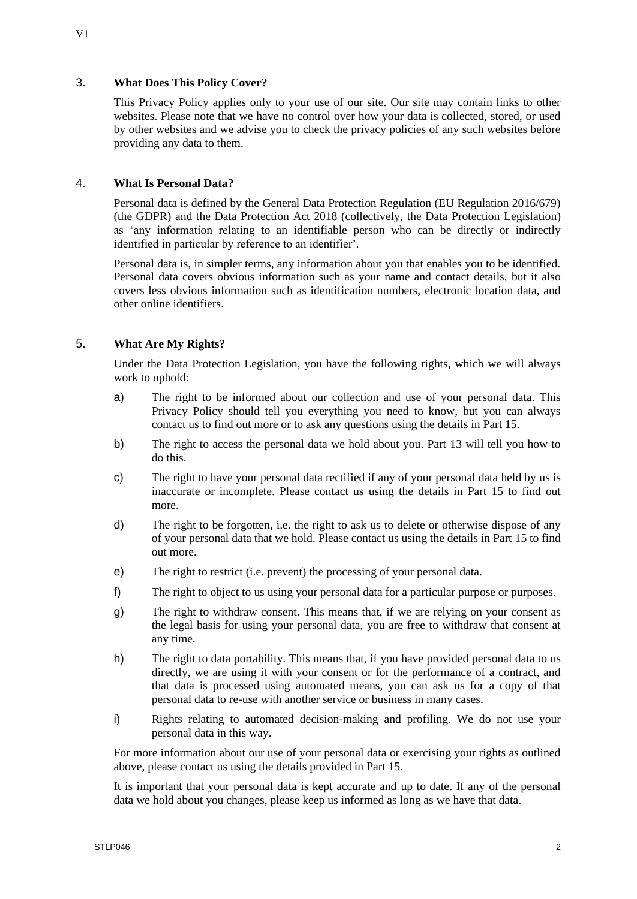# 3. **What Does This Policy Cover?**

This Privacy Policy applies only to your use of our site. Our site may contain links to other websites. Please note that we have no control over how your data is collected, stored, or used by other websites and we advise you to check the privacy policies of any such websites before providing any data to them.

### 4. **What Is Personal Data?**

Personal data is defined by the General Data Protection Regulation (EU Regulation 2016/679) (the GDPR) and the Data Protection Act 2018 (collectively, the Data Protection Legislation) as 'any information relating to an identifiable person who can be directly or indirectly identified in particular by reference to an identifier'.

Personal data is, in simpler terms, any information about you that enables you to be identified. Personal data covers obvious information such as your name and contact details, but it also covers less obvious information such as identification numbers, electronic location data, and other online identifiers.

# 5. **What Are My Rights?**

Under the Data Protection Legislation, you have the following rights, which we will always work to uphold:

- a) The right to be informed about our collection and use of your personal data. This Privacy Policy should tell you everything you need to know, but you can always contact us to find out more or to ask any questions using the details in Part 15.
- b) The right to access the personal data we hold about you. Part 13 will tell you how to do this.
- c) The right to have your personal data rectified if any of your personal data held by us is inaccurate or incomplete. Please contact us using the details in Part 15 to find out more.
- d) The right to be forgotten, i.e. the right to ask us to delete or otherwise dispose of any of your personal data that we hold. Please contact us using the details in Part 15 to find out more.
- e) The right to restrict (i.e. prevent) the processing of your personal data.
- f) The right to object to us using your personal data for a particular purpose or purposes.
- g) The right to withdraw consent. This means that, if we are relying on your consent as the legal basis for using your personal data, you are free to withdraw that consent at any time.
- h) The right to data portability. This means that, if you have provided personal data to us directly, we are using it with your consent or for the performance of a contract, and that data is processed using automated means, you can ask us for a copy of that personal data to re-use with another service or business in many cases.
- i) Rights relating to automated decision-making and profiling. We do not use your personal data in this way.

For more information about our use of your personal data or exercising your rights as outlined above, please contact us using the details provided in Part 15.

It is important that your personal data is kept accurate and up to date. If any of the personal data we hold about you changes, please keep us informed as long as we have that data.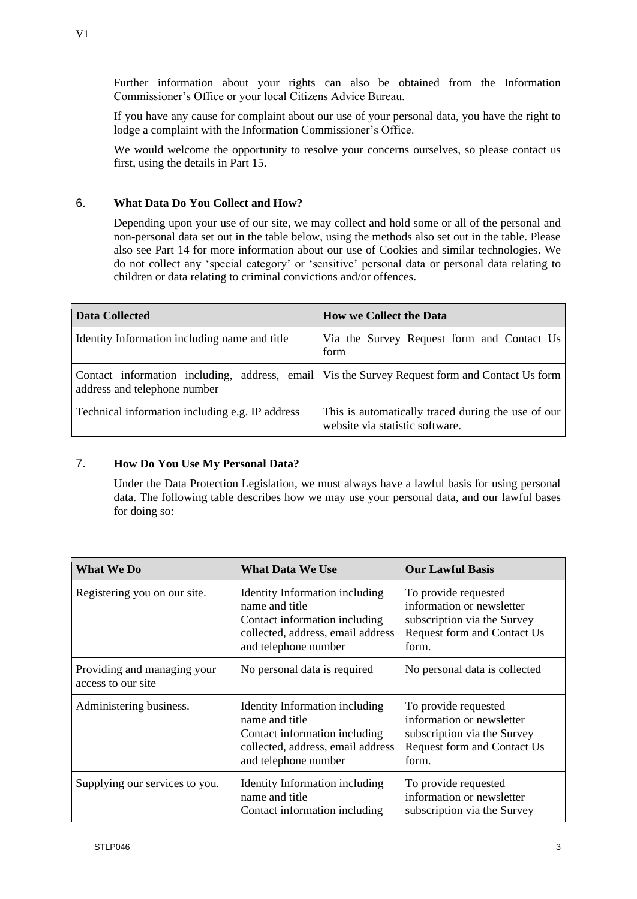V1

Further information about your rights can also be obtained from the Information Commissioner's Office or your local Citizens Advice Bureau.

If you have any cause for complaint about our use of your personal data, you have the right to lodge a complaint with the Information Commissioner's Office.

We would welcome the opportunity to resolve your concerns ourselves, so please contact us first, using the details in Part 15.

# 6. **What Data Do You Collect and How?**

Depending upon your use of our site, we may collect and hold some or all of the personal and non-personal data set out in the table below, using the methods also set out in the table. Please also see Part 14 for more information about our use of Cookies and similar technologies. We do not collect any 'special category' or 'sensitive' personal data or personal data relating to children or data relating to criminal convictions and/or offences.

| Data Collected                                  | <b>How we Collect the Data</b>                                                                  |
|-------------------------------------------------|-------------------------------------------------------------------------------------------------|
| Identity Information including name and title   | Via the Survey Request form and Contact Us<br>form                                              |
| address and telephone number                    | Contact information including, address, email   Vis the Survey Request form and Contact Us form |
| Technical information including e.g. IP address | This is automatically traced during the use of our<br>website via statistic software.           |

# 7. **How Do You Use My Personal Data?**

Under the Data Protection Legislation, we must always have a lawful basis for using personal data. The following table describes how we may use your personal data, and our lawful bases for doing so:

| <b>What We Do</b>                                 | <b>What Data We Use</b>                                                                                                                        | <b>Our Lawful Basis</b>                                                                                                  |
|---------------------------------------------------|------------------------------------------------------------------------------------------------------------------------------------------------|--------------------------------------------------------------------------------------------------------------------------|
| Registering you on our site.                      | Identity Information including<br>name and title<br>Contact information including<br>collected, address, email address<br>and telephone number | To provide requested<br>information or newsletter<br>subscription via the Survey<br>Request form and Contact Us<br>form. |
| Providing and managing your<br>access to our site | No personal data is required                                                                                                                   | No personal data is collected                                                                                            |
| Administering business.                           | Identity Information including<br>name and title<br>Contact information including<br>collected, address, email address<br>and telephone number | To provide requested<br>information or newsletter<br>subscription via the Survey<br>Request form and Contact Us<br>form. |
| Supplying our services to you.                    | Identity Information including<br>name and title<br>Contact information including                                                              | To provide requested<br>information or newsletter<br>subscription via the Survey                                         |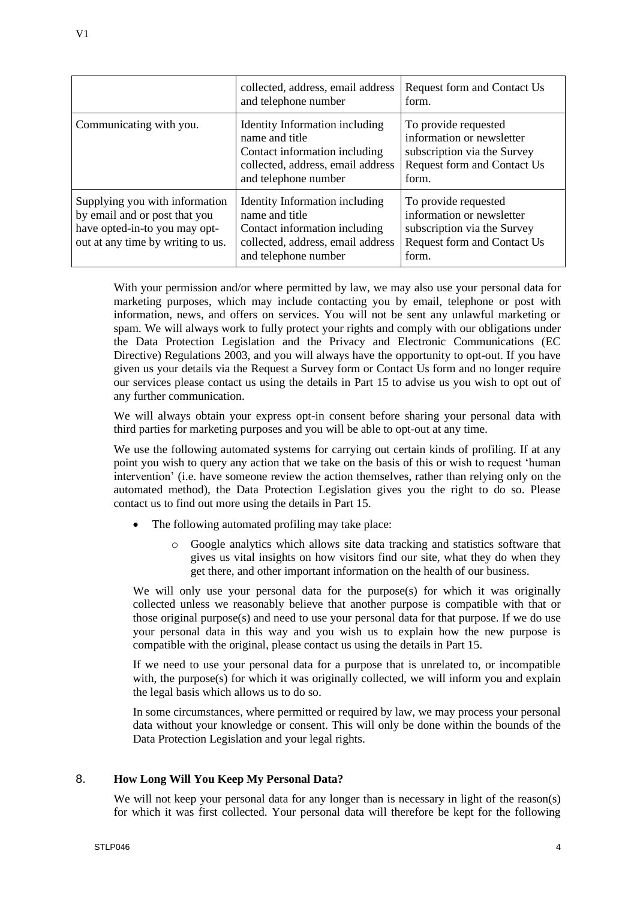|                                                                                                                                       | collected, address, email address<br>and telephone number                                                                                      | Request form and Contact Us<br>form.                                                                                     |
|---------------------------------------------------------------------------------------------------------------------------------------|------------------------------------------------------------------------------------------------------------------------------------------------|--------------------------------------------------------------------------------------------------------------------------|
| Communicating with you.                                                                                                               | Identity Information including<br>name and title<br>Contact information including<br>collected, address, email address<br>and telephone number | To provide requested<br>information or newsletter<br>subscription via the Survey<br>Request form and Contact Us<br>form. |
| Supplying you with information<br>by email and or post that you<br>have opted-in-to you may opt-<br>out at any time by writing to us. | Identity Information including<br>name and title<br>Contact information including<br>collected, address, email address<br>and telephone number | To provide requested<br>information or newsletter<br>subscription via the Survey<br>Request form and Contact Us<br>form. |

With your permission and/or where permitted by law, we may also use your personal data for marketing purposes, which may include contacting you by email, telephone or post with information, news, and offers on services. You will not be sent any unlawful marketing or spam. We will always work to fully protect your rights and comply with our obligations under the Data Protection Legislation and the Privacy and Electronic Communications (EC Directive) Regulations 2003, and you will always have the opportunity to opt-out. If you have given us your details via the Request a Survey form or Contact Us form and no longer require our services please contact us using the details in Part 15 to advise us you wish to opt out of any further communication.

We will always obtain your express opt-in consent before sharing your personal data with third parties for marketing purposes and you will be able to opt-out at any time.

We use the following automated systems for carrying out certain kinds of profiling. If at any point you wish to query any action that we take on the basis of this or wish to request 'human intervention' (i.e. have someone review the action themselves, rather than relying only on the automated method), the Data Protection Legislation gives you the right to do so. Please contact us to find out more using the details in Part 15.

- The following automated profiling may take place:
	- o Google analytics which allows site data tracking and statistics software that gives us vital insights on how visitors find our site, what they do when they get there, and other important information on the health of our business.

We will only use your personal data for the purpose(s) for which it was originally collected unless we reasonably believe that another purpose is compatible with that or those original purpose(s) and need to use your personal data for that purpose. If we do use your personal data in this way and you wish us to explain how the new purpose is compatible with the original, please contact us using the details in Part 15.

If we need to use your personal data for a purpose that is unrelated to, or incompatible with, the purpose(s) for which it was originally collected, we will inform you and explain the legal basis which allows us to do so.

In some circumstances, where permitted or required by law, we may process your personal data without your knowledge or consent. This will only be done within the bounds of the Data Protection Legislation and your legal rights.

# 8. **How Long Will You Keep My Personal Data?**

We will not keep your personal data for any longer than is necessary in light of the reason(s) for which it was first collected. Your personal data will therefore be kept for the following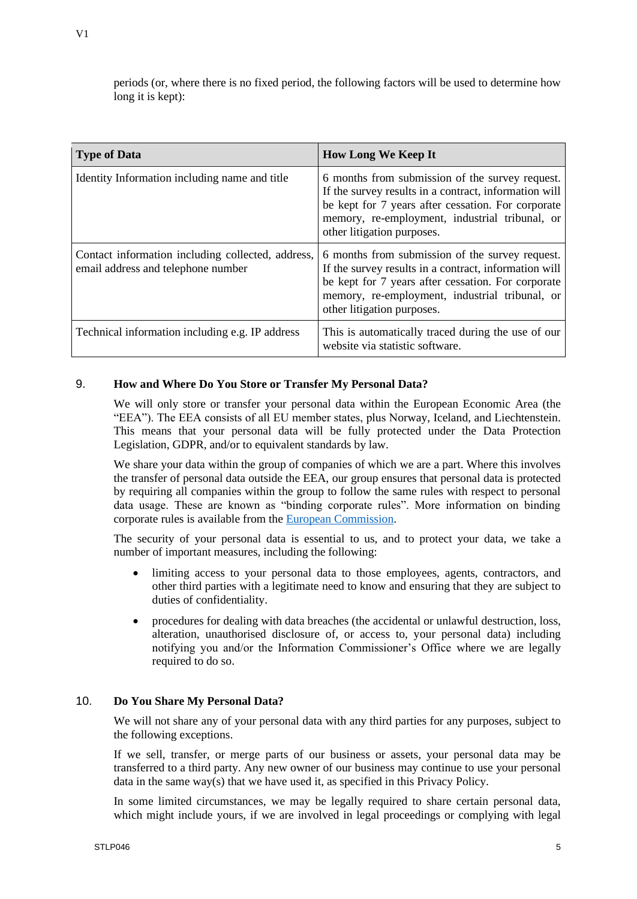| <b>Type of Data</b>                                                                     | <b>How Long We Keep It</b>                                                                                                                                                                                                                     |
|-----------------------------------------------------------------------------------------|------------------------------------------------------------------------------------------------------------------------------------------------------------------------------------------------------------------------------------------------|
| Identity Information including name and title                                           | 6 months from submission of the survey request.<br>If the survey results in a contract, information will<br>be kept for 7 years after cessation. For corporate<br>memory, re-employment, industrial tribunal, or<br>other litigation purposes. |
| Contact information including collected, address,<br>email address and telephone number | 6 months from submission of the survey request.<br>If the survey results in a contract, information will<br>be kept for 7 years after cessation. For corporate<br>memory, re-employment, industrial tribunal, or<br>other litigation purposes. |
| Technical information including e.g. IP address                                         | This is automatically traced during the use of our<br>website via statistic software.                                                                                                                                                          |

# 9. **How and Where Do You Store or Transfer My Personal Data?**

We will only store or transfer your personal data within the European Economic Area (the "EEA"). The EEA consists of all EU member states, plus Norway, Iceland, and Liechtenstein. This means that your personal data will be fully protected under the Data Protection Legislation, GDPR, and/or to equivalent standards by law.

We share your data within the group of companies of which we are a part. Where this involves the transfer of personal data outside the EEA, our group ensures that personal data is protected by requiring all companies within the group to follow the same rules with respect to personal data usage. These are known as "binding corporate rules". More information on binding corporate rules is available from the [European Commission.](https://ec.europa.eu/info/law/law-topic/data-protection/data-transfers-outside-eu/binding-corporate-rules_en)

The security of your personal data is essential to us, and to protect your data, we take a number of important measures, including the following:

- limiting access to your personal data to those employees, agents, contractors, and other third parties with a legitimate need to know and ensuring that they are subject to duties of confidentiality.
- procedures for dealing with data breaches (the accidental or unlawful destruction, loss, alteration, unauthorised disclosure of, or access to, your personal data) including notifying you and/or the Information Commissioner's Office where we are legally required to do so.

### 10. **Do You Share My Personal Data?**

We will not share any of your personal data with any third parties for any purposes, subject to the following exceptions.

If we sell, transfer, or merge parts of our business or assets, your personal data may be transferred to a third party. Any new owner of our business may continue to use your personal data in the same way(s) that we have used it, as specified in this Privacy Policy.

In some limited circumstances, we may be legally required to share certain personal data, which might include yours, if we are involved in legal proceedings or complying with legal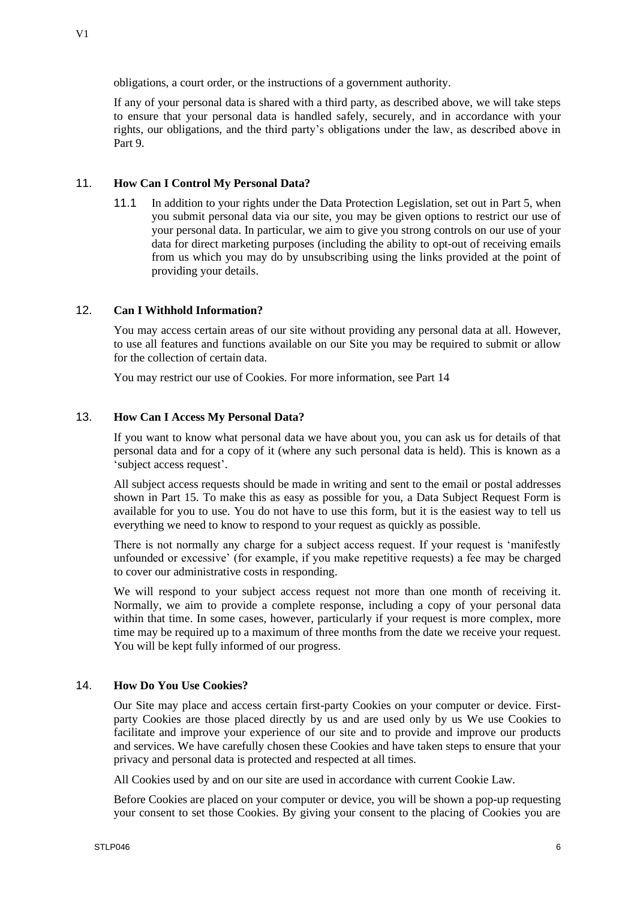If any of your personal data is shared with a third party, as described above, we will take steps to ensure that your personal data is handled safely, securely, and in accordance with your rights, our obligations, and the third party's obligations under the law, as described above in Part 9.

## 11. **How Can I Control My Personal Data?**

11.1 In addition to your rights under the Data Protection Legislation, set out in Part 5, when you submit personal data via our site, you may be given options to restrict our use of your personal data. In particular, we aim to give you strong controls on our use of your data for direct marketing purposes (including the ability to opt-out of receiving emails from us which you may do by unsubscribing using the links provided at the point of providing your details.

# 12. **Can I Withhold Information?**

You may access certain areas of our site without providing any personal data at all. However, to use all features and functions available on our Site you may be required to submit or allow for the collection of certain data.

You may restrict our use of Cookies. For more information, see Part 14

## 13. **How Can I Access My Personal Data?**

If you want to know what personal data we have about you, you can ask us for details of that personal data and for a copy of it (where any such personal data is held). This is known as a 'subject access request'.

All subject access requests should be made in writing and sent to the email or postal addresses shown in Part 15. To make this as easy as possible for you, a Data Subject Request Form is available for you to use. You do not have to use this form, but it is the easiest way to tell us everything we need to know to respond to your request as quickly as possible.

There is not normally any charge for a subject access request. If your request is 'manifestly unfounded or excessive' (for example, if you make repetitive requests) a fee may be charged to cover our administrative costs in responding.

We will respond to your subject access request not more than one month of receiving it. Normally, we aim to provide a complete response, including a copy of your personal data within that time. In some cases, however, particularly if your request is more complex, more time may be required up to a maximum of three months from the date we receive your request. You will be kept fully informed of our progress.

# 14. **How Do You Use Cookies?**

Our Site may place and access certain first-party Cookies on your computer or device. Firstparty Cookies are those placed directly by us and are used only by us We use Cookies to facilitate and improve your experience of our site and to provide and improve our products and services. We have carefully chosen these Cookies and have taken steps to ensure that your privacy and personal data is protected and respected at all times.

All Cookies used by and on our site are used in accordance with current Cookie Law.

Before Cookies are placed on your computer or device, you will be shown a pop-up requesting your consent to set those Cookies. By giving your consent to the placing of Cookies you are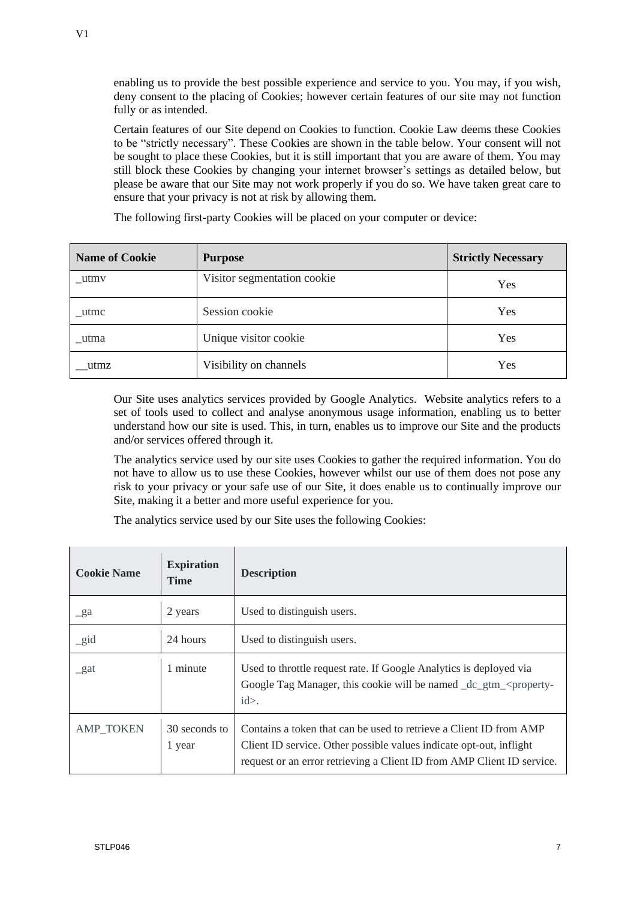enabling us to provide the best possible experience and service to you. You may, if you wish, deny consent to the placing of Cookies; however certain features of our site may not function fully or as intended.

Certain features of our Site depend on Cookies to function. Cookie Law deems these Cookies to be "strictly necessary". These Cookies are shown in the table below. Your consent will not be sought to place these Cookies, but it is still important that you are aware of them. You may still block these Cookies by changing your internet browser's settings as detailed below, but please be aware that our Site may not work properly if you do so. We have taken great care to ensure that your privacy is not at risk by allowing them.

The following first-party Cookies will be placed on your computer or device:

| <b>Name of Cookie</b> | <b>Purpose</b>              | <b>Strictly Necessary</b> |
|-----------------------|-----------------------------|---------------------------|
| utmv                  | Visitor segmentation cookie | Yes                       |
| utmc                  | Session cookie              | Yes                       |
| utma                  | Unique visitor cookie       | Yes                       |
| utmz                  | Visibility on channels      | Yes                       |

Our Site uses analytics services provided by Google Analytics. Website analytics refers to a set of tools used to collect and analyse anonymous usage information, enabling us to better understand how our site is used. This, in turn, enables us to improve our Site and the products and/or services offered through it.

The analytics service used by our site uses Cookies to gather the required information. You do not have to allow us to use these Cookies, however whilst our use of them does not pose any risk to your privacy or your safe use of our Site, it does enable us to continually improve our Site, making it a better and more useful experience for you.

The analytics service used by our Site uses the following Cookies:

| <b>Cookie Name</b> | <b>Expiration</b><br><b>Time</b> | <b>Description</b>                                                                                                                                                                                                  |
|--------------------|----------------------------------|---------------------------------------------------------------------------------------------------------------------------------------------------------------------------------------------------------------------|
| $\mathcal{L}$ ga   | 2 years                          | Used to distinguish users.                                                                                                                                                                                          |
| $\_gid$            | 24 hours                         | Used to distinguish users.                                                                                                                                                                                          |
| $\mathbf{g}$ at    | 1 minute                         | Used to throttle request rate. If Google Analytics is deployed via<br>Google Tag Manager, this cookie will be named dc gtm <property-<br><math>id</math>.</property-<br>                                            |
| <b>AMP_TOKEN</b>   | 30 seconds to<br>1 year          | Contains a token that can be used to retrieve a Client ID from AMP<br>Client ID service. Other possible values indicate opt-out, inflight<br>request or an error retrieving a Client ID from AMP Client ID service. |